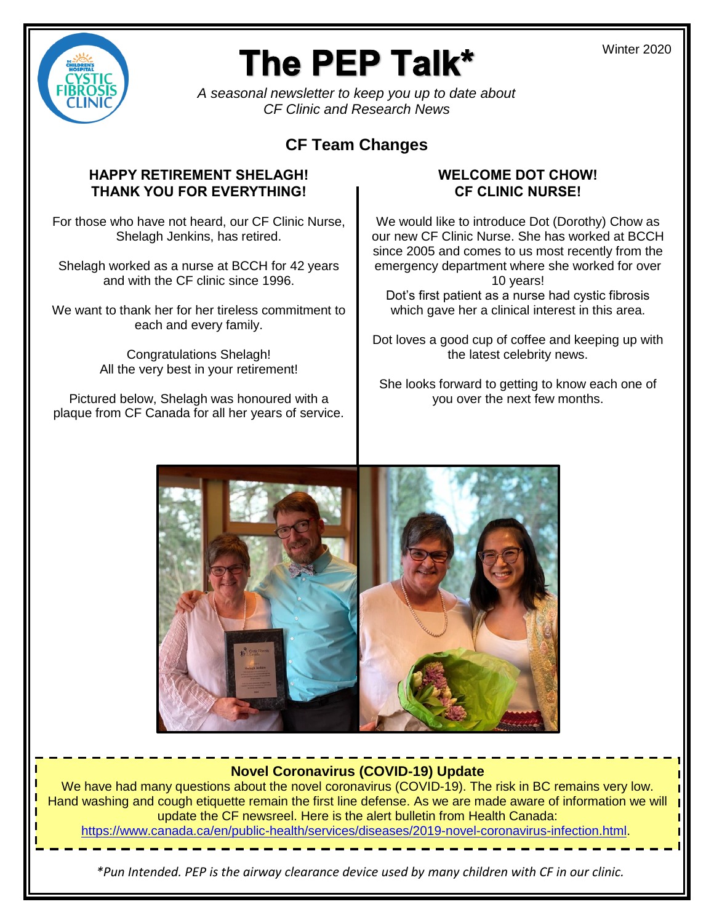

# The PEP Talk\*

*A seasonal newsletter to keep you up to date about CF Clinic and Research News* 

# **CF Team Changes**

# **HAPPY RETIREMENT SHELAGH! THANK YOU FOR EVERYTHING!**

For those who have not heard, our CF Clinic Nurse, Shelagh Jenkins, has retired.

Shelagh worked as a nurse at BCCH for 42 years and with the CF clinic since 1996.

We want to thank her for her tireless commitment to each and every family.

> Congratulations Shelagh! All the very best in your retirement!

Pictured below, Shelagh was honoured with a plaque from CF Canada for all her years of service.

# **WELCOME DOT CHOW! CF CLINIC NURSE!**

We would like to introduce Dot (Dorothy) Chow as our new CF Clinic Nurse. She has worked at BCCH since 2005 and comes to us most recently from the emergency department where she worked for over 10 years!

Dot's first patient as a nurse had cystic fibrosis which gave her a clinical interest in this area.

Dot loves a good cup of coffee and keeping up with the latest celebrity news.

She looks forward to getting to know each one of you over the next few months.



# **Novel Coronavirus (COVID-19) Update**

We have had many questions about the novel coronavirus (COVID-19). The risk in BC remains very low. Hand washing and cough etiquette remain the first line defense. As we are made aware of information we will update the CF newsreel. Here is the alert bulletin from Health Canada: [https://www.canada.ca/en/public-health/services/diseases/2019-novel-coronavirus-infection.html.](https://www.canada.ca/en/public-health/services/diseases/2019-novel-coronavirus-infection.html)

*\*Pun Intended. PEP is the airway clearance device used by many children with CF in our clinic.*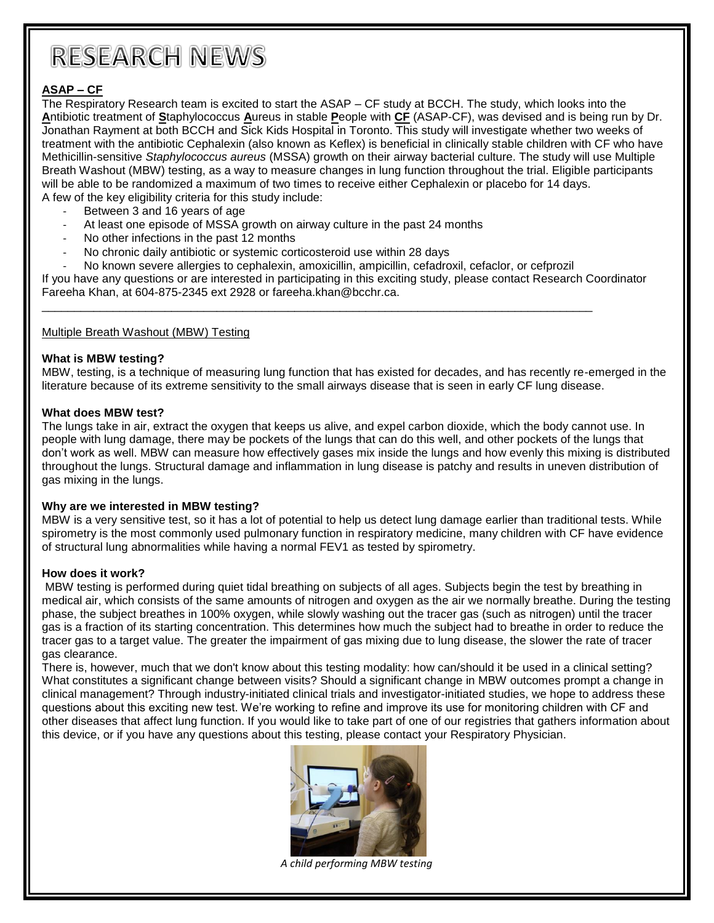# **RESEARCH NEWS**

#### **ASAP – CF**

The Respiratory Research team is excited to start the ASAP – CF study at BCCH. The study, which looks into the **A**ntibiotic treatment of **S**taphylococcus **A**ureus in stable **P**eople with **CF** (ASAP-CF), was devised and is being run by Dr. Jonathan Rayment at both BCCH and Sick Kids Hospital in Toronto. This study will investigate whether two weeks of treatment with the antibiotic Cephalexin (also known as Keflex) is beneficial in clinically stable children with CF who have Methicillin-sensitive *Staphylococcus aureus* (MSSA) growth on their airway bacterial culture. The study will use Multiple Breath Washout (MBW) testing, as a way to measure changes in lung function throughout the trial. Eligible participants will be able to be randomized a maximum of two times to receive either Cephalexin or placebo for 14 days. A few of the key eligibility criteria for this study include:

- Between 3 and 16 years of age
- At least one episode of MSSA growth on airway culture in the past 24 months
- No other infections in the past 12 months
- No chronic daily antibiotic or systemic corticosteroid use within 28 days
- No known severe allergies to cephalexin, amoxicillin, ampicillin, cefadroxil, cefaclor, or cefprozil

\_\_\_\_\_\_\_\_\_\_\_\_\_\_\_\_\_\_\_\_\_\_\_\_\_\_\_\_\_\_\_\_\_\_\_\_\_\_\_\_\_\_\_\_\_\_\_\_\_\_\_\_\_\_\_\_\_\_\_\_\_\_\_\_\_\_\_\_\_\_\_\_\_\_\_\_\_\_\_\_\_\_\_\_\_

If you have any questions or are interested in participating in this exciting study, please contact Research Coordinator Fareeha Khan, at 604-875-2345 ext 2928 or fareeha.khan@bcchr.ca.

#### Multiple Breath Washout (MBW) Testing

#### **What is MBW testing?**

MBW, testing, is a technique of measuring lung function that has existed for decades, and has recently re-emerged in the literature because of its extreme sensitivity to the small airways disease that is seen in early CF lung disease.

#### **What does MBW test?**

The lungs take in air, extract the oxygen that keeps us alive, and expel carbon dioxide, which the body cannot use. In people with lung damage, there may be pockets of the lungs that can do this well, and other pockets of the lungs that don't work as well. MBW can measure how effectively gases mix inside the lungs and how evenly this mixing is distributed throughout the lungs. Structural damage and inflammation in lung disease is patchy and results in uneven distribution of gas mixing in the lungs.

#### **Why are we interested in MBW testing?**

MBW is a very sensitive test, so it has a lot of potential to help us detect lung damage earlier than traditional tests. While spirometry is the most commonly used pulmonary function in respiratory medicine, many children with CF have evidence of structural lung abnormalities while having a normal FEV1 as tested by spirometry.

#### **How does it work?**

MBW testing is performed during quiet tidal breathing on subjects of all ages. Subjects begin the test by breathing in medical air, which consists of the same amounts of nitrogen and oxygen as the air we normally breathe. During the testing phase, the subject breathes in 100% oxygen, while slowly washing out the tracer gas (such as nitrogen) until the tracer gas is a fraction of its starting concentration. This determines how much the subject had to breathe in order to reduce the tracer gas to a target value. The greater the impairment of gas mixing due to lung disease, the slower the rate of tracer gas clearance.

There is, however, much that we don't know about this testing modality: how can/should it be used in a clinical setting? What constitutes a significant change between visits? Should a significant change in MBW outcomes prompt a change in clinical management? Through industry-initiated clinical trials and investigator-initiated studies, we hope to address these questions about this exciting new test. We're working to refine and improve its use for monitoring children with CF and other diseases that affect lung function. If you would like to take part of one of our registries that gathers information about this device, or if you have any questions about this testing, please contact your Respiratory Physician.



*A child performing MBW testing*